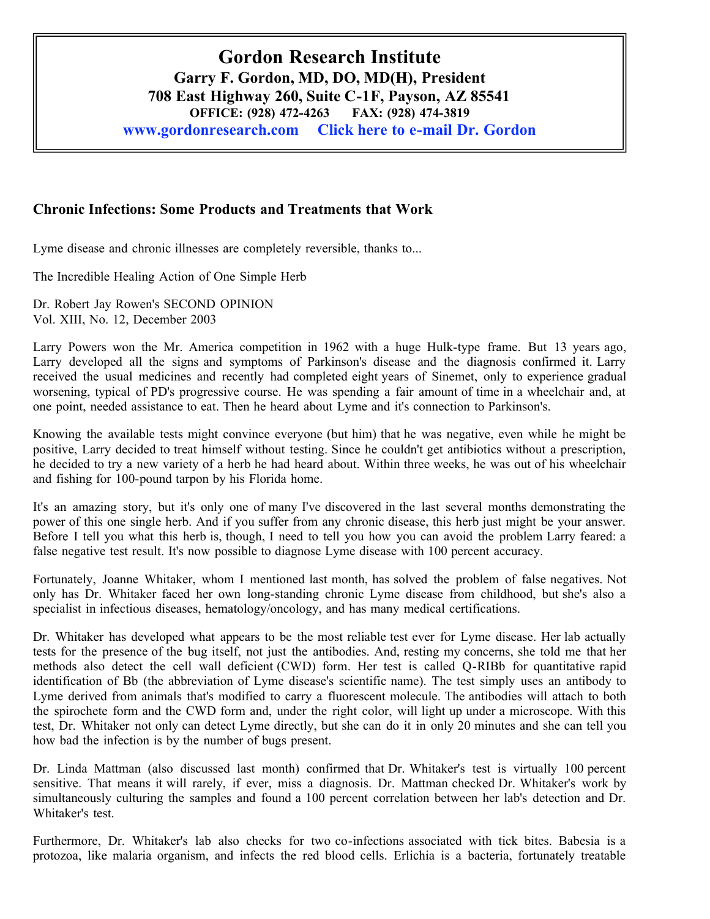## **Chronic Infections: Some Products and Treatments that Work**

Lyme disease and chronic illnesses are completely reversible, thanks to...

The Incredible Healing Action of One Simple Herb

Dr. Robert Jay Rowen's SECOND OPINION Vol. XIII, No. 12, December 2003

Larry Powers won the Mr. America competition in 1962 with a huge Hulk-type frame. But 13 years ago, Larry developed all the signs and symptoms of Parkinson's disease and the diagnosis confirmed it. Larry received the usual medicines and recently had completed eight years of Sinemet, only to experience gradual worsening, typical of PD's progressive course. He was spending a fair amount of time in a wheelchair and, at one point, needed assistance to eat. Then he heard about Lyme and it's connection to Parkinson's.

Knowing the available tests might convince everyone (but him) that he was negative, even while he might be positive, Larry decided to treat himself without testing. Since he couldn't get antibiotics without a prescription, he decided to try a new variety of a herb he had heard about. Within three weeks, he was out of his wheelchair and fishing for 100-pound tarpon by his Florida home.

It's an amazing story, but it's only one of many I've discovered in the last several months demonstrating the power of this one single herb. And if you suffer from any chronic disease, this herb just might be your answer. Before I tell you what this herb is, though, I need to tell you how you can avoid the problem Larry feared: a false negative test result. It's now possible to diagnose Lyme disease with 100 percent accuracy.

Fortunately, Joanne Whitaker, whom I mentioned last month, has solved the problem of false negatives. Not only has Dr. Whitaker faced her own long-standing chronic Lyme disease from childhood, but she's also a specialist in infectious diseases, hematology/oncology, and has many medical certifications.

Dr. Whitaker has developed what appears to be the most reliable test ever for Lyme disease. Her lab actually tests for the presence of the bug itself, not just the antibodies. And, resting my concerns, she told me that her methods also detect the cell wall deficient (CWD) form. Her test is called Q-RIBb for quantitative rapid identification of Bb (the abbreviation of Lyme disease's scientific name). The test simply uses an antibody to Lyme derived from animals that's modified to carry a fluorescent molecule. The antibodies will attach to both the spirochete form and the CWD form and, under the right color, will light up under a microscope. With this test, Dr. Whitaker not only can detect Lyme directly, but she can do it in only 20 minutes and she can tell you how bad the infection is by the number of bugs present.

Dr. Linda Mattman (also discussed last month) confirmed that Dr. Whitaker's test is virtually 100 percent sensitive. That means it will rarely, if ever, miss a diagnosis. Dr. Mattman checked Dr. Whitaker's work by simultaneously culturing the samples and found a 100 percent correlation between her lab's detection and Dr. Whitaker's test.

Furthermore, Dr. Whitaker's lab also checks for two co-infections associated with tick bites. Babesia is a protozoa, like malaria organism, and infects the red blood cells. Erlichia is a bacteria, fortunately treatable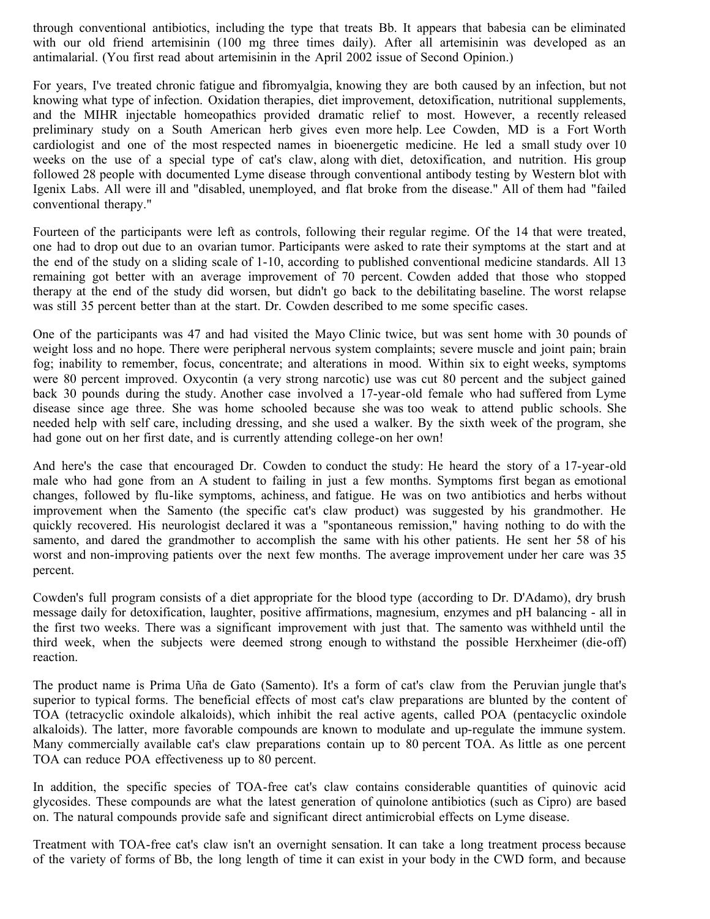through conventional antibiotics, including the type that treats Bb. It appears that babesia can be eliminated with our old friend artemisinin (100 mg three times daily). After all artemisinin was developed as an antimalarial. (You first read about artemisinin in the April 2002 issue of Second Opinion.)

For years, I've treated chronic fatigue and fibromyalgia, knowing they are both caused by an infection, but not knowing what type of infection. Oxidation therapies, diet improvement, detoxification, nutritional supplements, and the MIHR injectable homeopathics provided dramatic relief to most. However, a recently released preliminary study on a South American herb gives even more help. Lee Cowden, MD is a Fort Worth cardiologist and one of the most respected names in bioenergetic medicine. He led a small study over 10 weeks on the use of a special type of cat's claw, along with diet, detoxification, and nutrition. His group followed 28 people with documented Lyme disease through conventional antibody testing by Western blot with Igenix Labs. All were ill and "disabled, unemployed, and flat broke from the disease." All of them had "failed conventional therapy."

Fourteen of the participants were left as controls, following their regular regime. Of the 14 that were treated, one had to drop out due to an ovarian tumor. Participants were asked to rate their symptoms at the start and at the end of the study on a sliding scale of 1-10, according to published conventional medicine standards. All 13 remaining got better with an average improvement of 70 percent. Cowden added that those who stopped therapy at the end of the study did worsen, but didn't go back to the debilitating baseline. The worst relapse was still 35 percent better than at the start. Dr. Cowden described to me some specific cases.

One of the participants was 47 and had visited the Mayo Clinic twice, but was sent home with 30 pounds of weight loss and no hope. There were peripheral nervous system complaints; severe muscle and joint pain; brain fog; inability to remember, focus, concentrate; and alterations in mood. Within six to eight weeks, symptoms were 80 percent improved. Oxycontin (a very strong narcotic) use was cut 80 percent and the subject gained back 30 pounds during the study. Another case involved a 17-year-old female who had suffered from Lyme disease since age three. She was home schooled because she was too weak to attend public schools. She needed help with self care, including dressing, and she used a walker. By the sixth week of the program, she had gone out on her first date, and is currently attending college-on her own!

And here's the case that encouraged Dr. Cowden to conduct the study: He heard the story of a 17-year-old male who had gone from an A student to failing in just a few months. Symptoms first began as emotional changes, followed by flu-like symptoms, achiness, and fatigue. He was on two antibiotics and herbs without improvement when the Samento (the specific cat's claw product) was suggested by his grandmother. He quickly recovered. His neurologist declared it was a "spontaneous remission," having nothing to do with the samento, and dared the grandmother to accomplish the same with his other patients. He sent her 58 of his worst and non-improving patients over the next few months. The average improvement under her care was 35 percent.

Cowden's full program consists of a diet appropriate for the blood type (according to Dr. D'Adamo), dry brush message daily for detoxification, laughter, positive affirmations, magnesium, enzymes and pH balancing - all in the first two weeks. There was a significant improvement with just that. The samento was withheld until the third week, when the subjects were deemed strong enough to withstand the possible Herxheimer (die-off) reaction.

The product name is Prima Uña de Gato (Samento). It's a form of cat's claw from the Peruvian jungle that's superior to typical forms. The beneficial effects of most cat's claw preparations are blunted by the content of TOA (tetracyclic oxindole alkaloids), which inhibit the real active agents, called POA (pentacyclic oxindole alkaloids). The latter, more favorable compounds are known to modulate and up-regulate the immune system. Many commercially available cat's claw preparations contain up to 80 percent TOA. As little as one percent TOA can reduce POA effectiveness up to 80 percent.

In addition, the specific species of TOA-free cat's claw contains considerable quantities of quinovic acid glycosides. These compounds are what the latest generation of quinolone antibiotics (such as Cipro) are based on. The natural compounds provide safe and significant direct antimicrobial effects on Lyme disease.

Treatment with TOA-free cat's claw isn't an overnight sensation. It can take a long treatment process because of the variety of forms of Bb, the long length of time it can exist in your body in the CWD form, and because